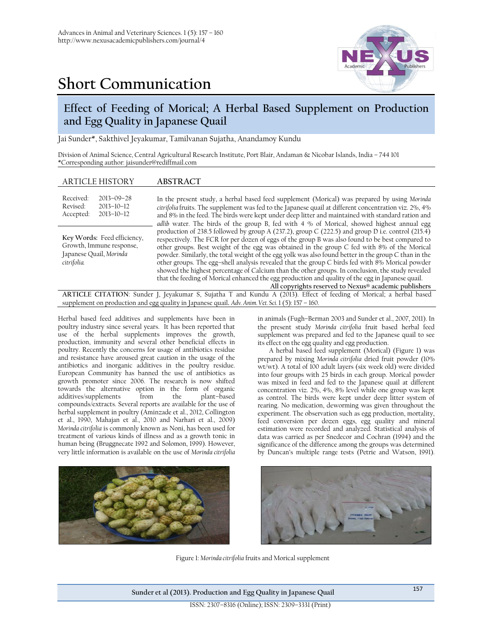# **Short Communication**



# **Effect of Feeding of Morical; A Herbal Based Supplement on Production and Egg Quality in Japanese Quail**

Jai Sunder\*, Sakthivel Jeyakumar, Tamilvanan Sujatha, Anandamoy Kundu

Division of Animal Science, Central Agricultural Research Institute, Port Blair, Andaman & Nicobar Islands, India – 744 101 \*Corresponding author: jaisunder@rediffmail.com

## ARTICLE HISTORY **ABSTRACT**

| Received:<br>Revised:<br>Accepted:                                                                | $2013 - 09 - 28$<br>$2013 - 10 - 12$<br>$2013 - 10 - 12$ | In the present study, a herbal based feed supplement (Morical) was prepared by using Morinda<br>citrifolia fruits. The supplement was fed to the Japanese quail at different concentration viz. 2%, 4%<br>and 8% in the feed. The birds were kept under deep litter and maintained with standard ration and<br>adlib water. The birds of the group B, fed with 4 % of Morical, showed highest annual egg                                                                                                                                                                                                                                                                                                                                                                           |  |
|---------------------------------------------------------------------------------------------------|----------------------------------------------------------|------------------------------------------------------------------------------------------------------------------------------------------------------------------------------------------------------------------------------------------------------------------------------------------------------------------------------------------------------------------------------------------------------------------------------------------------------------------------------------------------------------------------------------------------------------------------------------------------------------------------------------------------------------------------------------------------------------------------------------------------------------------------------------|--|
| Key Words: Feed efficiency,<br>Growth, Immune response,<br>Japanese Quail, Morinda<br>citrifolia. |                                                          | production of 238.5 followed by group A (237.2), group C (222.5) and group D i.e. control (215.4)<br>respectively. The FCR for per dozen of eggs of the group B was also found to be best compared to<br>other groups. Best weight of the egg was obtained in the group C fed with 8% of the Morical<br>powder. Similarly, the total weight of the egg yolk was also found better in the group C than in the<br>other groups. The egg-shell analysis revealed that the group C birds fed with 8% Morical powder<br>showed the highest percentage of Calcium than the other groups. In conclusion, the study revealed<br>that the feeding of Morical enhanced the egg production and quality of the egg in Japanese quail.<br>All copyrights reserved to Nexus® academic publishers |  |
|                                                                                                   |                                                          | ARTICLE CITATION: Sunder J, Jeyakumar S, Sujatha T and Kundu A (2013). Effect of feeding of Morical; a herbal based                                                                                                                                                                                                                                                                                                                                                                                                                                                                                                                                                                                                                                                                |  |

supplement on production and egg quality in Japanese quail**.** *Adv. Anim. Vet. Sci.* 1 (5): 157 – 160.

Herbal based feed additives and supplements have been in poultry industry since several years. It has been reported that use of the herbal supplements improves the growth, production, immunity and several other beneficial effects in poultry. Recently the concerns for usage of antibiotics residue and resistance have aroused great caution in the usage of the antibiotics and inorganic additives in the poultry residue. European Community has banned the use of antibiotics as growth promoter since 2006. The research is now shifted towards the alternative option in the form of organic additives/supplements from compounds/extracts. Several reports are available for the use of herbal supplement in poultry (Aminzade et al., 2012, Collington et al., 1990, Mahajan et al., 2010 and Narhari et al., 2009) *Morinda citrifolia* is commonly known as Noni, has been used for treatment of various kinds of illness and as a growth tonic in human being (Bruggnecate 1992 and Solomon, 1999). However, very little information is available on the use of *Morinda citrifolia*

in animals (Fugh–Berman 2003 and Sunder et al., 2007, 2011). In the present study *Morinda citrifolia* fruit based herbal feed supplement was prepared and fed to the Japanese quail to see its effect on the egg quality and egg production.

A herbal based feed supplement (Morical) (Figure 1) was prepared by mixing *Morinda citrifolia* dried fruit powder (10% wt/wt). A total of 100 adult layers (six week old) were divided into four groups with 25 birds in each group. Morical powder was mixed in feed and fed to the Japanese quail at different concentration viz. 2%, 4%, 8% level while one group was kept as control. The birds were kept under deep litter system of rearing. No medication, deworming was given throughout the experiment. The observation such as egg production, mortality, feed conversion per dozen eggs, egg quality and mineral estimation were recorded and analyzed. Statistical analysis of data was carried as per Snedecor and Cochran (1994) and the significance of the difference among the groups was determined by Duncan's multiple range tests (Petrie and Watson, 1991).





Figure 1: *Morinda citrifolia* fruits and Morical supplement

**Sunder et al (2013). Production and Egg Quality in Japanese Quail** <sup>157</sup>

ISSN: 2307–8316 (Online); ISSN: 2309–3331 (Print)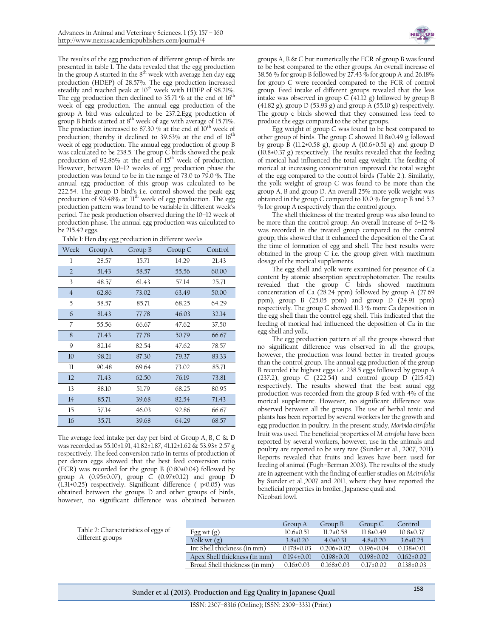The results of the egg production of different group of birds are presented in table 1. The data revealed that the egg production in the group A started in the  $8<sup>th</sup>$  week with average hen day egg production (HDEP) of 28.57%. The egg production increased steadily and reached peak at 10<sup>th</sup> week with HDEP of 98.21%. The egg production then declined to 35.71 % at the end of  $16<sup>th</sup>$ week of egg production. The annual egg production of the group A bird was calculated to be 237.2.Egg production of group B birds started at  $8^{th}$  week of age with average of 15.71%. The production increased to 87.30  $%$  at the end of 10<sup>th</sup> week of production; thereby it declined to  $39.63\%$  at the end of  $16<sup>th</sup>$ week of egg production. The annual egg production of group B was calculated to be 238.5. The group C birds showed the peak production of 92.86% at the end of  $15<sup>th</sup>$  week of production. However, between 10–12 weeks of egg production phase the production was found to be in the range of 73.0 to 79.0 %. The annual egg production of this group was calculated to be 222.54. The group D bird's i.e. control showed the peak egg production of 90.48% at 11<sup>th</sup> week of egg production. The egg production pattern was found to be variable in different week's period. The peak production observed during the 10–12 week of production phase. The annual egg production was calculated to be 215.42 eggs.

| Table 1: Hen day egg production in different weeks |  |  |  |  |
|----------------------------------------------------|--|--|--|--|
|----------------------------------------------------|--|--|--|--|

| Week           | Group A | Group B | Group C | Control |
|----------------|---------|---------|---------|---------|
| 1              | 28.57   | 15.71   | 14.29   | 21.43   |
| $\overline{2}$ | 51.43   | 58.57   | 55.56   | 60.00   |
| 3              | 48.57   | 61.43   | 57.14   | 25.71   |
| $\overline{4}$ | 62.86   | 73.02   | 63.49   | 50.00   |
| 5              | 58.57   | 85.71   | 68.25   | 64.29   |
| 6              | 81.43   | 77.78   | 46.03   | 32.14   |
| 7              | 55.56   | 66.67   | 47.62   | 37.50   |
| 8              | 71.43   | 77.78   | 50.79   | 66.67   |
| 9              | 82.14   | 82.54   | 47.62   | 78.57   |
| 10             | 98.21   | 87.30   | 79.37   | 83.33   |
| $_{\rm ll}$    | 90.48   | 69.64   | 73.02   | 85.71   |
| 12             | 71.43   | 62.50   | 76.19   | 73.81   |
| 13             | 88.10   | 51.79   | 68.25   | 80.95   |
| 14             | 85.71   | 39.68   | 82.54   | 71.43   |
| 15             | 57.14   | 46.03   | 92.86   | 66.67   |
| 16             | 35.71   | 39.68   | 64.29   | 68.57   |

The average feed intake per day per bird of Group A, B, C & D was recorded as 55.10±1.91, 41.82±1.87, 41.12±1.62 & 53.93± 2.57 g respectively. The feed conversion ratio in terms of production of per dozen eggs showed that the best feed conversion ratio (FCR) was recorded for the group B (0.80±0.04) followed by group A (0.95±0.07), group C (0.97±0.12) and group D (1.31±0.25) respectively. Significant difference ( p<0.05) was obtained between the groups D and other groups of birds, however, no significant difference was obtained between

groups A, B & C but numerically the FCR of group B was found to be best compared to the other groups. An overall increase of 38.56 % for group B followed by  $27.43\%$  for group A and 26.18% for group C were recorded compared to the FCR of control group. Feed intake of different groups revealed that the less intake was observed in group C (41.12 g) followed by group B (41.82 g), group D (53.93 g) and group A (55.10 g) respectively. The group c birds showed that they consumed less feed to produce the eggs compared to the other groups.

Egg weight of group C was found to be best compared to other group of birds. The group C showed 11.8±0.49 g followed by group B (11.2±0.58 g), group A (10.6±0.51 g) and group D  $(10.8\pm0.37 \text{ g})$  respectively. The results revealed that the feeding of morical had influenced the total egg weight. The feeding of morical at increasing concentration improved the total weight of the egg compared to the control birds (Table 2.). Similarly, the yolk weight of group C was found to be more than the group A, B and group D. An overall 25% more yolk weight was obtained in the group C compared to 10.0 % for group B and 5.2 % for group A respectively than the control group.

The shell thickness of the treated group was also found to be more than the control group. An overall increase of 6–12 % was recorded in the treated group compared to the control group; this showed that it enhanced the deposition of the Ca at the time of formation of egg and shell. The best results were obtained in the group  $C$  i.e. the group given with maximum dosage of the morical supplements.

The egg shell and yolk were examined for presence of Ca content by atomic absorption spectrophotometer. The results revealed that the group C birds showed maximum concentration of Ca (28.24 ppm) followed by group A (27.69 ppm), group B (25.05 ppm) and group D (24.91 ppm) respectively. The group C showed 11.3 % more Ca deposition in the egg shell than the control egg shell. This indicated that the feeding of morical had influenced the deposition of Ca in the egg shell and yolk.

The egg production pattern of all the groups showed that no significant difference was observed in all the groups, however, the production was found better in treated groups than the control group. The annual egg production of the group B recorded the highest eggs i.e. 238.5 eggs followed by group A (237.2), group C (222.54) and control group D (215.42) respectively. The results showed that the best auual egg production was recorded from the group B fed with 4% of the morical supplement. However, no significant difference was observed between all the groups. The use of herbal tonic and plants has been reported by several workers for the growth and egg production in poultry. In the present study, *Morinda citrifolia* fruit was used. The beneficial properties of *M. citrifolia* have been reported by several workers, however, use in the animals and poultry are reported to be very rare (Sunder et al., 2007, 2011). Reports revealed that fruits and leaves have been used for feeding of animal (Fugh–Berman 2003). The results of the study are in agreement with the finding of earlier studies on *M.citrifolia* by Sunder et al.,2007 and 2011, where they have reported the beneficial properties in broiler, Japanese quail and Nicobari fowl.

Table 2: Characteristics of eggs of different groups

|                               | Group A          | Group B        | Group C        | Control         |
|-------------------------------|------------------|----------------|----------------|-----------------|
| Egg wt $(g)$                  | $10.6 \pm 0.51$  | $11.2+0.58$    | $118+049$      | $10.8 \pm 0.37$ |
| Yolk wt $(g)$                 | $38+020$         | $40+031$       | $48+020$       | $36+025$        |
| Int Shell thickness (in mm)   | $0.178 \pm 0.03$ | $0.206\pm0.02$ | $0.196\pm0.04$ | $0.138\pm0.01$  |
| Apex Shell thickness (in mm)  | $0.194\pm0.01$   | $0.198\pm0.01$ | $0.198\pm0.02$ | $0.162\pm0.02$  |
| Broad Shell thickness (in mm) | $0.16 \pm 0.03$  | $0.168\pm0.03$ | $0.17\pm0.02$  | $0.138 + 0.03$  |

**Sunder et al (2013). Production and Egg Quality in Japanese Quail** <sup>158</sup>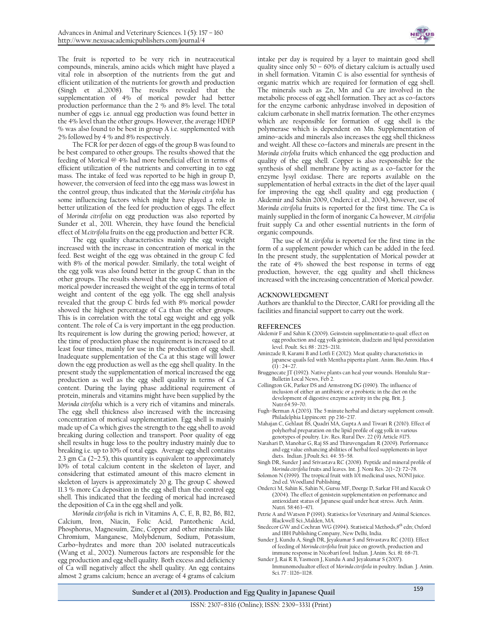The fruit is reported to be very rich in neutraceutical compounds, minerals, amino acids which might have played a vital role in absorption of the nutrients from the gut and efficient utilization of the nutrients for growth and production (Singh et al.,2008). The results revealed that the supplementation of 4% of morical powder had better production performance than the 2 % and 8% level. The total number of eggs i.e. annual egg production was found better in the 4% level than the other groups. However, the average HDEP % was also found to be best in group A i.e. supplemented with 2% followed by 4 % and 8% respectively.

The FCR for per dozen of eggs of the group B was found to be best compared to other groups. The results showed that the feeding of Morical @ 4% had more beneficial effect in terms of efficient utilization of the nutrients and converting in to egg mass. The intake of feed was reported to be high in group D, however, the conversion of feed into the egg mass was lowest in the control group, thus indicated that the *Morinda citrifolia* has some influencing factors which might have played a role in better utilization of the feed for production of eggs. The effect of *Morinda citrifolia* on egg production was also reported by Sunder et al., 2011. Wherein, they have found the beneficial effect of *M.citrifolia* fruits on the egg production and better FCR.

The egg quality characteristics mainly the egg weight increased with the increase in concentration of morical in the feed. Best weight of the egg was obtained in the group C fed with 8% of the morical powder. Similarly, the total weight of the egg yolk was also found better in the group C than in the other groups. The results showed that the supplementation of morical powder increased the weight of the egg in terms of total weight and content of the egg yolk. The egg shell analysis revealed that the group C birds fed with 8% morical powder showed the highest percentage of Ca than the other groups. This is in correlation with the total egg weight and egg yolk content. The role of Ca is very important in the egg production. Its requirement is low during the growing period; however, at the time of production phase the requirement is increased to at least four times, mainly for use in the production of egg shell. Inadequate supplementation of the Ca at this stage will lower down the egg production as well as the egg shell quality. In the present study the supplementation of morical increased the egg production as well as the egg shell quality in terms of Ca content. During the laying phase additional requirement of protein, minerals and vitamins might have been supplied by the *Morinda citrifolia* which is a very rich of vitamins and minerals. The egg shell thickness also increased with the increasing concentration of morical supplementation. Egg shell is mainly made up of Ca which gives the strength to the egg shell to avoid breaking during collection and transport. Poor quality of egg shell results in huge loss to the poultry industry mainly due to breaking i.e. up to 10% of total eggs. Average egg shell contains 2.3 gm Ca (2–2.5), this quantity is equivalent to approximately 10% of total calcium content in the skeleton of layer, and considering that estimated amount of this macro element in skeleton of layers is approximately 20 g. The group C showed 11.3 % more Ca deposition in the egg shell than the control egg shell. This indicated that the feeding of morical had increased the deposition of Ca in the egg shell and yolk.

*Morinda citrifolia* is rich in Vitamins A, C, E, B, B2, B6, B12, Calcium, Iron, Niacin, Folic Acid, Pantothenic Acid, Phosphorus, Magnesuim, Zinc, Copper and other minerals like Chromium, Manganese, Molybdenum, Sodium, Potassium, Carbo–hydrates and more than 200 isolated nutraceuticals (Wang et al., 2002). Numerous factors are responsible for the egg production and egg shell quality. Both excess and deficiency of Ca will negatively affect the shell quality. An egg contains almost 2 grams calcium; hence an average of 4 grams of calcium



intake per day is required by a layer to maintain good shell quality since only 50 – 60% of dietary calcium is actually used in shell formation. Vitamin C is also essential for synthesis of organic matrix which are required for formation of egg shell. The minerals such as Zn, Mn and Cu are involved in the metabolic process of egg shell formation. They act as co–factors for the enzyme carbonic anhydrase involved in deposition of calcium carbonate in shell matrix formation. The other enzymes which are responsible for formation of egg shell is the polymerase which is dependent on Mn. Supplementation of amino–acids and minerals also increases the egg shell thickness and weight. All these co–factors and minerals are present in the *Morinda citrfolia* fruits which enhanced the egg production and quality of the egg shell. Copper is also responsible for the synthesis of shell membrane by acting as a co–factor for the enzyme lysyl oxidase. There are reports available on the supplementation of herbal extracts in the diet of the layer quail for improving the egg shell quality and egg production ( Akdemir and Sahin 2009, Onderci et al., 2004), however, use of *Morinda citrifolia* fruits is reported for the first time. The Ca is mainly supplied in the form of inorganic Ca however, *M. citrifolia*  fruit supply Ca and other essential nutrients in the form of organic compounds.

The use of *M. citrifolia* is reported for the first time in the form of a supplement powder which can be added in the feed. In the present study, the supplentation of Morical powder at the rate of 4% showed the best response in terms of egg production, however, the egg quality and shell thickness increased with the increasing concentration of Morical powder.

### **ACKNOWLEDGMENT**

Authors are thankful to the Director, CARI for providing all the facilities and financial support to carry out the work.

#### **REFERENCES**

- Akdemir F and Sahin K (2009). Geinstein supplimentatio to quail: effect on egg production and egg yolk geinistein, diadzein and lipid peroxidation level. Poult. Sci*.* 88 : 2125–2131.
- Aminzade B, Karami B and Lotfi E (2012). Meat quality characteristics in japanese quails fed with Mentha piperita plant. Anim. Bio.Anim. Hus.4  $(1)$ : 24–27.
- Bruggnecate JT (1992). Native plants can heal your wounds. Honululu Star– Bulletin Local News, Feb 2.
- Collington GK, Parker DS and Armstrong DG (1990). The influence of inclusion of either an antibiotic or a probiotic in the diet on the development of digestive enzyme activity in the pig. Brit. J. Nutr.64:59–70.
- Fugh–Berman A (2003). The 5 minute herbal and dietary supplement consult. Philadelphia Lippincott pp 236–237.
- Mahajan C, Gehlaut BS, Quadri MA, Gupta A and Tiwari R (2010). Effect of polyherbal preparation on the lipid profile of egg yolk in various genotypes of poultry. Liv. Res. Rural Dev. 22 (9) Article #175.
- Narahari D, Manohar G, Raj SS and Thiruvengadam R (2009). Performance and egg value enhancing abilities of herbal feed supplements in layer diets. Indian. J.Poult.Sci. 44: 55–58.
- Singh DR, Sunder J and Srivastava RC (2008). Peptide and mineral profile of *Morinda citrifolia* fruits and leaves. Int. J. Noni Res. 2(1–2): 72–78.
- Solomon N (1999). The tropical fruit with 101 medicinal uses, NONI juice. 2nd ed. Woodland Publishing.
- Onderci M, Sahin K, Sahin N, Gursu MF, Doerge D, Sarkar FH and Kucuk O (2004). The effect of genistein supplementation on performance and antioxidant status of Japanese quail under heat stress. Arch. Anim. Nutri. 58:463–471.
- Petrie A and Watson P (1991). Statistics for Veterinary and Animal Sciences. Blackwell Sci.,Malden, MA.
- Snedecor GW and Cochran WG (1994). Statistical Methods, 8<sup>th</sup> edn; Oxford and IBH Publishing Company, New Delhi, India.
- Sunder J, Kundu A, Singh DR, Jeyakumar S and Srivastava RC (2011). Effect of feeding of *Morinda citrifolia* fruit juice on growth, production and immune response in Nicobari fowl. Indian. J.Anim. Sci. 81: 68–71. Sunder J, Rai R B, Yasmeen J, Kundu A and Jeyakumar S (2007).
- Immunomodualtor effect of *Morinda citrifoila* in poultry. Indian. J. Anim. Sci. 77 : 1126–1128.

**Sunder et al (2013). Production and Egg Quality in Japanese Quail** <sup>159</sup>